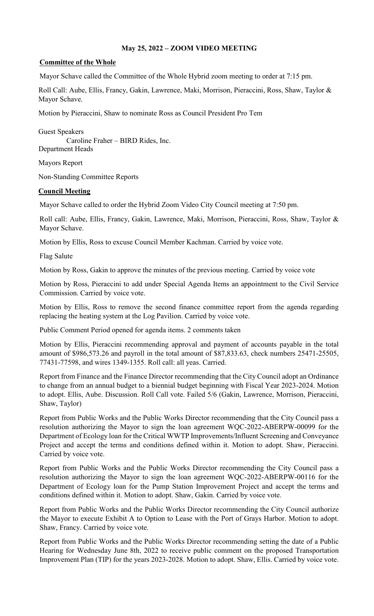## **May 25, 2022 – ZOOM VIDEO MEETING**

## **Committee of the Whole**

Mayor Schave called the Committee of the Whole Hybrid zoom meeting to order at 7:15 pm.

Roll Call: Aube, Ellis, Francy, Gakin, Lawrence, Maki, Morrison, Pieraccini, Ross, Shaw, Taylor & Mayor Schave.

Motion by Pieraccini, Shaw to nominate Ross as Council President Pro Tem

Guest Speakers Caroline Fraher – BIRD Rides, Inc. Department Heads

Mayors Report

Non-Standing Committee Reports

## **Council Meeting**

Mayor Schave called to order the Hybrid Zoom Video City Council meeting at 7:50 pm.

Roll call: Aube, Ellis, Francy, Gakin, Lawrence, Maki, Morrison, Pieraccini, Ross, Shaw, Taylor & Mayor Schave.

Motion by Ellis, Ross to excuse Council Member Kachman. Carried by voice vote.

Flag Salute

Motion by Ross, Gakin to approve the minutes of the previous meeting. Carried by voice vote

Motion by Ross, Pieraccini to add under Special Agenda Items an appointment to the Civil Service Commission. Carried by voice vote.

Motion by Ellis, Ross to remove the second finance committee report from the agenda regarding replacing the heating system at the Log Pavilion. Carried by voice vote.

Public Comment Period opened for agenda items. 2 comments taken

Motion by Ellis, Pieraccini recommending approval and payment of accounts payable in the total amount of \$986,573.26 and payroll in the total amount of \$87,833.63, check numbers 25471-25505, 77431-77598, and wires 1349-1355. Roll call: all yeas. Carried.

Report from Finance and the Finance Director recommending that the City Council adopt an Ordinance to change from an annual budget to a biennial budget beginning with Fiscal Year 2023-2024. Motion to adopt. Ellis, Aube. Discussion. Roll Call vote. Failed 5/6 (Gakin, Lawrence, Morrison, Pieraccini, Shaw, Taylor)

Report from Public Works and the Public Works Director recommending that the City Council pass a resolution authorizing the Mayor to sign the loan agreement WQC-2022-ABERPW-00099 for the Department of Ecology loan for the Critical WWTP Improvements/Influent Screening and Conveyance Project and accept the terms and conditions defined within it. Motion to adopt. Shaw, Pieraccini. Carried by voice vote.

Report from Public Works and the Public Works Director recommending the City Council pass a resolution authorizing the Mayor to sign the loan agreement WQC-2022-ABERPW-00116 for the Department of Ecology loan for the Pump Station Improvement Project and accept the terms and conditions defined within it. Motion to adopt. Shaw, Gakin. Carried by voice vote.

Report from Public Works and the Public Works Director recommending the City Council authorize the Mayor to execute Exhibit A to Option to Lease with the Port of Grays Harbor. Motion to adopt. Shaw, Francy. Carried by voice vote.

Report from Public Works and the Public Works Director recommending setting the date of a Public Hearing for Wednesday June 8th, 2022 to receive public comment on the proposed Transportation Improvement Plan (TIP) for the years 2023-2028. Motion to adopt. Shaw, Ellis. Carried by voice vote.